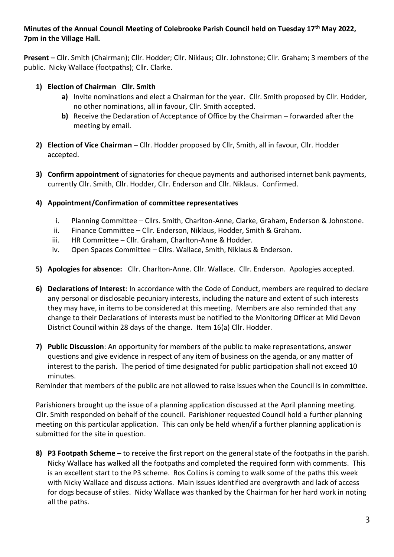# **Minutes of the Annual Council Meeting of Colebrooke Parish Council held on Tuesday 17th May 2022, 7pm in the Village Hall.**

**Present –** Cllr. Smith (Chairman); Cllr. Hodder; Cllr. Niklaus; Cllr. Johnstone; Cllr. Graham; 3 members of the public. Nicky Wallace (footpaths); Cllr. Clarke.

## **1) Election of Chairman Cllr. Smith**

- **a)** Invite nominations and elect a Chairman for the year. Cllr. Smith proposed by Cllr. Hodder, no other nominations, all in favour, Cllr. Smith accepted.
- **b)** Receive the Declaration of Acceptance of Office by the Chairman forwarded after the meeting by email.
- **2) Election of Vice Chairman –** Cllr. Hodder proposed by Cllr, Smith, all in favour, Cllr. Hodder accepted.
- **3) Confirm appointment** of signatories for cheque payments and authorised internet bank payments, currently Cllr. Smith, Cllr. Hodder, Cllr. Enderson and Cllr. Niklaus. Confirmed.

## **4) Appointment/Confirmation of committee representatives**

- i. Planning Committee Cllrs. Smith, Charlton-Anne, Clarke, Graham, Enderson & Johnstone.
- ii. Finance Committee Cllr. Enderson, Niklaus, Hodder, Smith & Graham.
- iii. HR Committee Cllr. Graham, Charlton-Anne & Hodder.
- iv. Open Spaces Committee Cllrs. Wallace, Smith, Niklaus & Enderson.
- **5) Apologies for absence:** Cllr. Charlton-Anne. Cllr. Wallace. Cllr. Enderson. Apologies accepted.
- **6) Declarations of Interest**: In accordance with the Code of Conduct, members are required to declare any personal or disclosable pecuniary interests, including the nature and extent of such interests they may have, in items to be considered at this meeting. Members are also reminded that any change to their Declarations of Interests must be notified to the Monitoring Officer at Mid Devon District Council within 28 days of the change. Item 16(a) Cllr. Hodder.
- **7) Public Discussion**: An opportunity for members of the public to make representations, answer questions and give evidence in respect of any item of business on the agenda, or any matter of interest to the parish. The period of time designated for public participation shall not exceed 10 minutes.

Reminder that members of the public are not allowed to raise issues when the Council is in committee.

Parishioners brought up the issue of a planning application discussed at the April planning meeting. Cllr. Smith responded on behalf of the council. Parishioner requested Council hold a further planning meeting on this particular application. This can only be held when/if a further planning application is submitted for the site in question.

**8) P3 Footpath Scheme –** to receive the first report on the general state of the footpaths in the parish. Nicky Wallace has walked all the footpaths and completed the required form with comments. This is an excellent start to the P3 scheme. Ros Collins is coming to walk some of the paths this week with Nicky Wallace and discuss actions. Main issues identified are overgrowth and lack of access for dogs because of stiles. Nicky Wallace was thanked by the Chairman for her hard work in noting all the paths.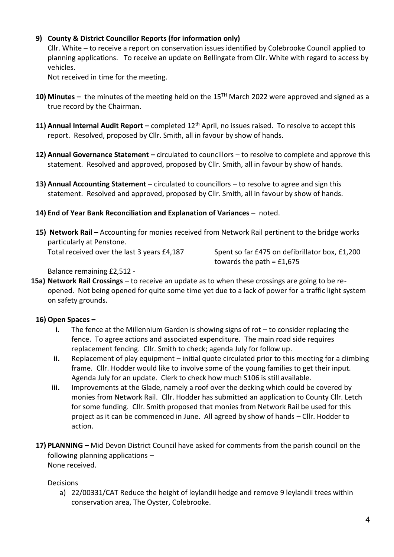## **9) County & District Councillor Reports (for information only)**

Cllr. White – to receive a report on conservation issues identified by Colebrooke Council applied to planning applications. To receive an update on Bellingate from Cllr. White with regard to access by vehicles.

Not received in time for the meeting.

- **10) Minutes –** the minutes of the meeting held on the 15TH March 2022 were approved and signed as a true record by the Chairman.
- 11) **Annual Internal Audit Report** completed 12<sup>th</sup> April, no issues raised. To resolve to accept this report. Resolved, proposed by Cllr. Smith, all in favour by show of hands.
- **12) Annual Governance Statement –** circulated to councillors to resolve to complete and approve this statement. Resolved and approved, proposed by Cllr. Smith, all in favour by show of hands.
- **13) Annual Accounting Statement –** circulated to councillors to resolve to agree and sign this statement. Resolved and approved, proposed by Cllr. Smith, all in favour by show of hands.
- **14) End of Year Bank Reconciliation and Explanation of Variances –** noted.
- **15) Network Rail –** Accounting for monies received from Network Rail pertinent to the bridge works particularly at Penstone.

Total received over the last 3 years £4,187 Spent so far £475 on defibrillator box, £1,200 towards the path =  $£1,675$ 

Balance remaining £2,512 -

**15a) Network Rail Crossings –** to receive an update as to when these crossings are going to be reopened. Not being opened for quite some time yet due to a lack of power for a traffic light system on safety grounds.

### **16) Open Spaces –**

- **i.** The fence at the Millennium Garden is showing signs of rot to consider replacing the fence. To agree actions and associated expenditure. The main road side requires replacement fencing. Cllr. Smith to check; agenda July for follow up.
- **ii.** Replacement of play equipment initial quote circulated prior to this meeting for a climbing frame. Cllr. Hodder would like to involve some of the young families to get their input. Agenda July for an update. Clerk to check how much S106 is still available.
- **iii.** Improvements at the Glade, namely a roof over the decking which could be covered by monies from Network Rail. Cllr. Hodder has submitted an application to County Cllr. Letch for some funding. Cllr. Smith proposed that monies from Network Rail be used for this project as it can be commenced in June. All agreed by show of hands – Cllr. Hodder to action.
- **17) PLANNING –** Mid Devon District Council have asked for comments from the parish council on the following planning applications – None received.

Decisions

a) 22/00331/CAT Reduce the height of leylandii hedge and remove 9 leylandii trees within conservation area, The Oyster, Colebrooke.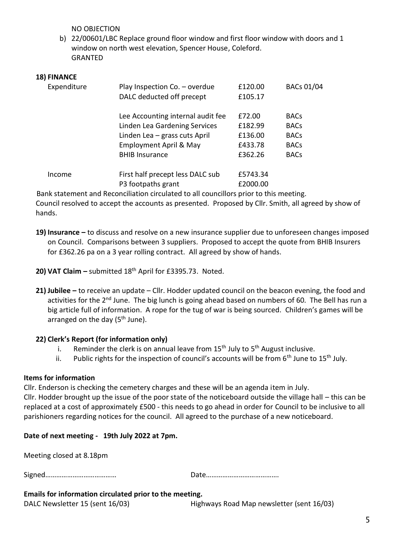NO OBJECTION

b) 22/00601/LBC Replace ground floor window and first floor window with doors and 1 window on north west elevation, Spencer House, Coleford. GRANTED

#### **18) FINANCE**

| Expenditure | Play Inspection Co. - overdue<br>DALC deducted off precept | £120.00<br>£105.17   | BACs 01/04  |
|-------------|------------------------------------------------------------|----------------------|-------------|
|             | Lee Accounting internal audit fee                          | £72.00               | <b>BACs</b> |
|             | Linden Lea Gardening Services                              | £182.99              | <b>BACs</b> |
|             | Linden Lea - grass cuts April                              | £136.00              | <b>BACs</b> |
|             | Employment April & May                                     | £433.78              | <b>BACs</b> |
|             | <b>BHIB Insurance</b>                                      | £362.26              | <b>BACs</b> |
| Income      | First half precept less DALC sub<br>P3 footpaths grant     | £5743.34<br>£2000.00 |             |

 Bank statement and Reconciliation circulated to all councillors prior to this meeting. Council resolved to accept the accounts as presented. Proposed by Cllr. Smith, all agreed by show of hands.

- **19) Insurance –** to discuss and resolve on a new insurance supplier due to unforeseen changes imposed on Council. Comparisons between 3 suppliers. Proposed to accept the quote from BHIB Insurers for £362.26 pa on a 3 year rolling contract. All agreed by show of hands.
- **20) VAT Claim –** submitted 18th April for £3395.73. Noted.
- **21) Jubilee –** to receive an update Cllr. Hodder updated council on the beacon evening, the food and activities for the 2<sup>nd</sup> June. The big lunch is going ahead based on numbers of 60. The Bell has run a big article full of information. A rope for the tug of war is being sourced. Children's games will be arranged on the day  $(5<sup>th</sup>$  June).

### **22) Clerk's Report (for information only)**

- i. Beminder the clerk is on annual leave from  $15<sup>th</sup>$  July to  $5<sup>th</sup>$  August inclusive.
- ii. Public rights for the inspection of council's accounts will be from  $6<sup>th</sup>$  June to  $15<sup>th</sup>$  July.

#### **Items for information**

Cllr. Enderson is checking the cemetery charges and these will be an agenda item in July.

Cllr. Hodder brought up the issue of the poor state of the noticeboard outside the village hall – this can be replaced at a cost of approximately £500 - this needs to go ahead in order for Council to be inclusive to all parishioners regarding notices for the council. All agreed to the purchase of a new noticeboard.

### **Date of next meeting - 19th July 2022 at 7pm.**

| Emails for information circulated prior to the meeting. |  |  |  |  |  |
|---------------------------------------------------------|--|--|--|--|--|
|                                                         |  |  |  |  |  |
| Meeting closed at 8.18pm                                |  |  |  |  |  |

| DALC Newsletter 15 (sent 16/03) |  |
|---------------------------------|--|

ent 16/03) **Highways Road Map newsletter (sent 16/03)**